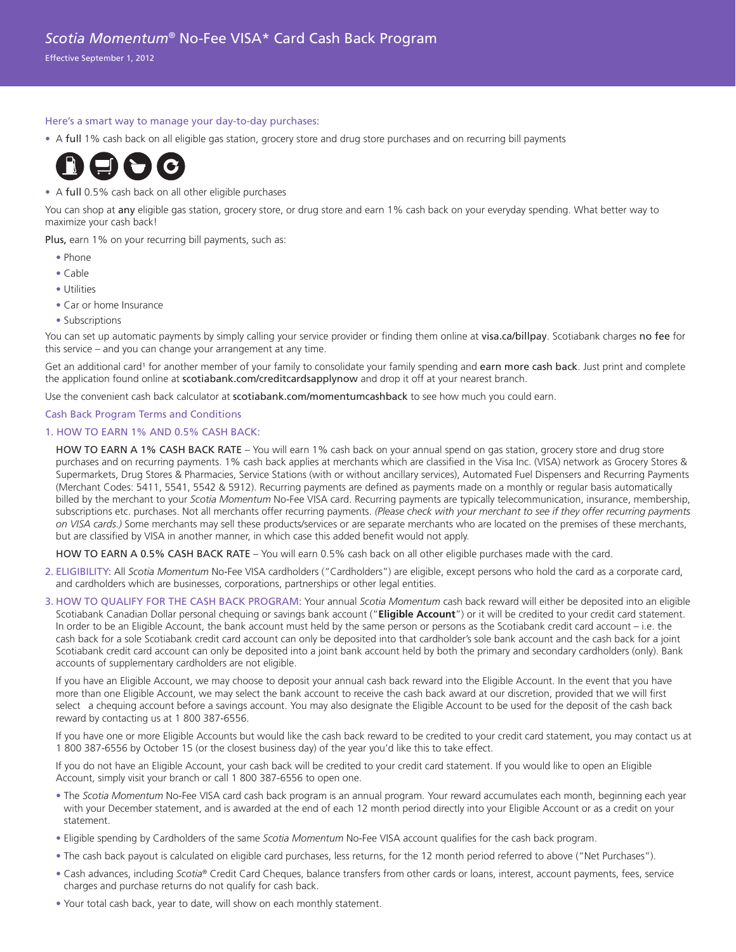Effective September 1, 2012

## Here's a smart way to manage your day-to-day purchases:

• A full 1% cash back on all eligible gas station, grocery store and drug store purchases and on recurring bill payments



## • A full 0.5% cash back on all other eligible purchases

You can shop at any eligible gas station, grocery store, or drug store and earn 1% cash back on your everyday spending. What better way to maximize your cash back!

Plus, earn 1% on your recurring bill payments, such as:

- Phone
- Cable
- Utilities
- Car or home Insurance
- Subscriptions

You can set up automatic payments by simply calling your service provider or finding them online at visa.ca/billpay. Scotiabank charges no fee for this service – and you can change your arrangement at any time.

Get an additional card<sup>1</sup> for another member of your family to consolidate your family spending and earn more cash back. Just print and complete the application found online at scotiabank.com/creditcardsapplynow and drop it off at your nearest branch.

Use the convenient cash back calculator at scotiabank.com/momentumcashback to see how much you could earn.

## Cash Back Program Terms and Conditions

## 1. HOW TO EARN 1% AND 0.5% CASH BACK:

 HOW TO EARN A 1% CASH BACK RATE – You will earn 1% cash back on your annual spend on gas station, grocery store and drug store purchases and on recurring payments. 1% cash back applies at merchants which are classified in the Visa Inc. (VISA) network as Grocery Stores & Supermarkets, Drug Stores & Pharmacies, Service Stations (with or without ancillary services), Automated Fuel Dispensers and Recurring Payments (Merchant Codes: 5411, 5541, 5542 & 5912). Recurring payments are defined as payments made on a monthly or regular basis automatically billed by the merchant to your *Scotia Momentum* No-Fee VISA card. Recurring payments are typically telecommunication, insurance, membership, subscriptions etc. purchases. Not all merchants offer recurring payments. *(Please check with your merchant to see if they offer recurring payments on VISA cards.)* Some merchants may sell these products/services or are separate merchants who are located on the premises of these merchants, but are classified by VISA in another manner, in which case this added benefit would not apply.

HOW TO EARN A 0.5% CASH BACK RATE – You will earn 0.5% cash back on all other eligible purchases made with the card.

- 2. ELIGIBILITY: All *Scotia Momentum* No-Fee VISA cardholders ("Cardholders") are eligible, except persons who hold the card as a corporate card, and cardholders which are businesses, corporations, partnerships or other legal entities.
- 3. HOW TO QUALIFY FOR THE CASH BACK PROGRAM: Your annual *Scotia Momentum* cash back reward will either be deposited into an eligible Scotiabank Canadian Dollar personal chequing or savings bank account ("**Eligible Account**") or it will be credited to your credit card statement. In order to be an Eligible Account, the bank account must held by the same person or persons as the Scotiabank credit card account – i.e. the cash back for a sole Scotiabank credit card account can only be deposited into that cardholder's sole bank account and the cash back for a joint Scotiabank credit card account can only be deposited into a joint bank account held by both the primary and secondary cardholders (only). Bank accounts of supplementary cardholders are not eligible.

 If you have an Eligible Account, we may choose to deposit your annual cash back reward into the Eligible Account. In the event that you have more than one Eligible Account, we may select the bank account to receive the cash back award at our discretion, provided that we will first select a chequing account before a savings account. You may also designate the Eligible Account to be used for the deposit of the cash back reward by contacting us at 1 800 387-6556.

 If you have one or more Eligible Accounts but would like the cash back reward to be credited to your credit card statement, you may contact us at 1 800 387-6556 by October 15 (or the closest business day) of the year you'd like this to take effect.

 If you do not have an Eligible Account, your cash back will be credited to your credit card statement. If you would like to open an Eligible Account, simply visit your branch or call 1 800 387-6556 to open one.

- The *Scotia Momentum* No-Fee VISA card cash back program is an annual program. Your reward accumulates each month, beginning each year with your December statement, and is awarded at the end of each 12 month period directly into your Eligible Account or as a credit on your statement.
- Eligible spending by Cardholders of the same *Scotia Momentum* No-Fee VISA account qualifies for the cash back program.
- The cash back payout is calculated on eligible card purchases, less returns, for the 12 month period referred to above ("Net Purchases").
- Cash advances, including *Scotia*® Credit Card Cheques, balance transfers from other cards or loans, interest, account payments, fees, service charges and purchase returns do not qualify for cash back.
- Your total cash back, year to date, will show on each monthly statement.